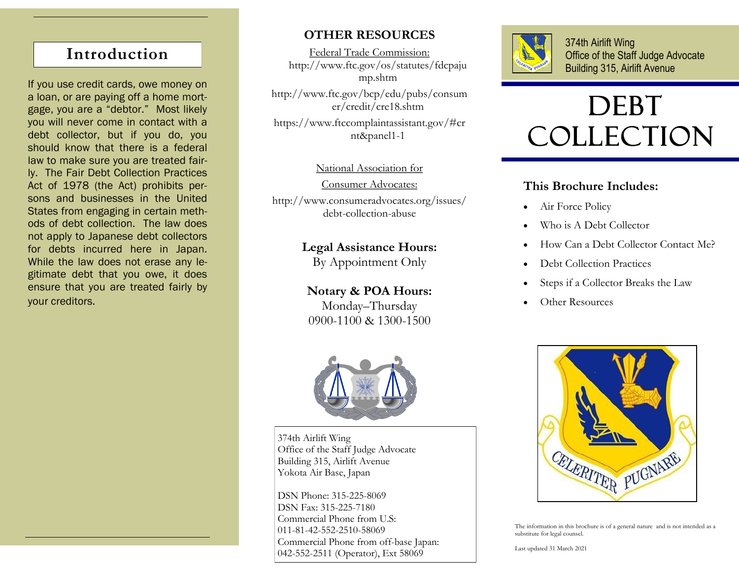## **Introduction**

If you use credit cards, owe money on a loan, or are paying off a home mortgage, you are a "debtor." Most likely you will never come in contact with a debt collector, but if you do, you should know that there is a federal law to make sure you are treated fairly. The Fair Debt Collection Practices Act of 1978 (the Act) prohibits persons and businesses in the United States from engaging in certain methods of debt collection. The law does not apply to Japanese debt collectors for debts incurred here in Japan. While the law does not erase any legitimate debt that you owe, it does ensure that you are treated fairly by your creditors.

## **OTHER RESOURCES**

Federal Trade Commission: http://www.ftc.gov/os/statutes/fdcpaju mp.shtm

http://www.ftc.gov/bcp/edu/pubs/consum er/credit/cre18.shtm

https://www.ftccomplaintassistant.gov/#cr nt&panel1-1

### National Association for

Consumer Advocates:

http://www.consumeradvocates.org/issues/ debt-collection-abuse

## **Legal Assistance Hours:**

By Appointment Only

**Notary & POA Hours:** Monday–Thursday 0900-1100 & 1300-1500



374th Airlift Wing Office of the Staff Judge Advocate Building 315, Airlift Avenue Yokota Air Base, Japan

DSN Phone: 315-225-8069 DSN Fax: 315-225-7180 Commercial Phone from U.S: 011-81-42-552-2510-58069 Commercial Phone from off-base Japan: 042-552-2511 (Operator), Ext 58069



374th Airlift Wing Office of the Staff Judge Advocate Building 315, Airlift Avenue

# DEBT **COLLECTION**

## **This Brochure Includes:**

- Air Force Policy
- Who is A Debt Collector
- How Can a Debt Collector Contact Me?
- Debt Collection Practices
- Steps if a Collector Breaks the Law
- Other Resources



The information in this brochure is of a general nature and is not intended as a substitute for legal counsel.

Last updated 31 March 2021